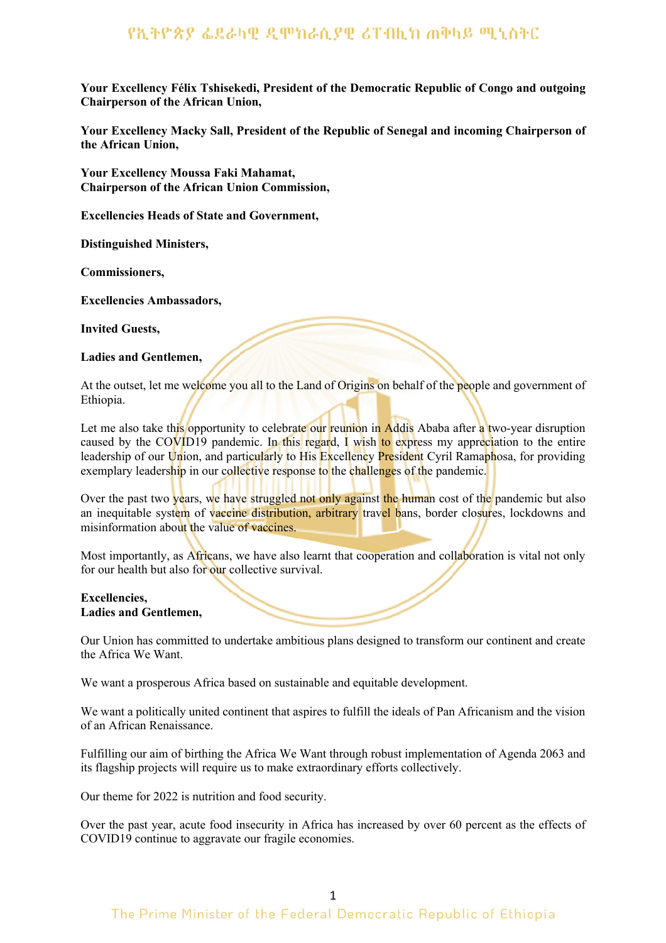**Your Excellency Félix Tshisekedi, President of the Democratic Republic of Congo and outgoing Chairperson of the African Union,**

**Your Excellency Macky Sall, President of the Republic of Senegal and incoming Chairperson of the African Union,**

**Your Excellency Moussa Faki Mahamat, Chairperson of the African Union Commission,**

**Excellencies Heads of State and Government,**

**Distinguished Ministers,**

**Commissioners,**

**Excellencies Ambassadors,**

**Invited Guests,**

### **Ladies and Gentlemen,**

At the outset, let me welcome you all to the Land of Origins on behalf of the people and government of Ethiopia.

Let me also take this opportunity to celebrate our reunion in Addis Ababa after a two-year disruption caused by the COVID19 pandemic. In this regard, I wish to express my appreciation to the entire leadership of our Union, and particularly to His Excellency President Cyril Ramaphosa, for providing exemplary leadership in our collective response to the challenges of the pandemic.

Over the past two years, we have struggled not only against the human cost of the pandemic but also an inequitable system of vaccine distribution, arbitrary travel bans, border closures, lockdowns and misinformation about the value of vaccines.

Most importantly, as Africans, we have also learnt that cooperation and collaboration is vital not only for our health but also for our collective survival.

### **Excellencies, Ladies and Gentlemen,**

Our Union has committed to undertake ambitious plans designed to transform our continent and create the Africa We Want.

We want a prosperous Africa based on sustainable and equitable development.

We want a politically united continent that aspires to fulfill the ideals of Pan Africanism and the vision of an African Renaissance.

Fulfilling our aim of birthing the Africa We Want through robust implementation of Agenda 2063 and its flagship projects will require us to make extraordinary efforts collectively.

Our theme for 2022 is nutrition and food security.

Over the past year, acute food insecurity in Africa has increased by over 60 percent as the effects of COVID19 continue to aggravate our fragile economies.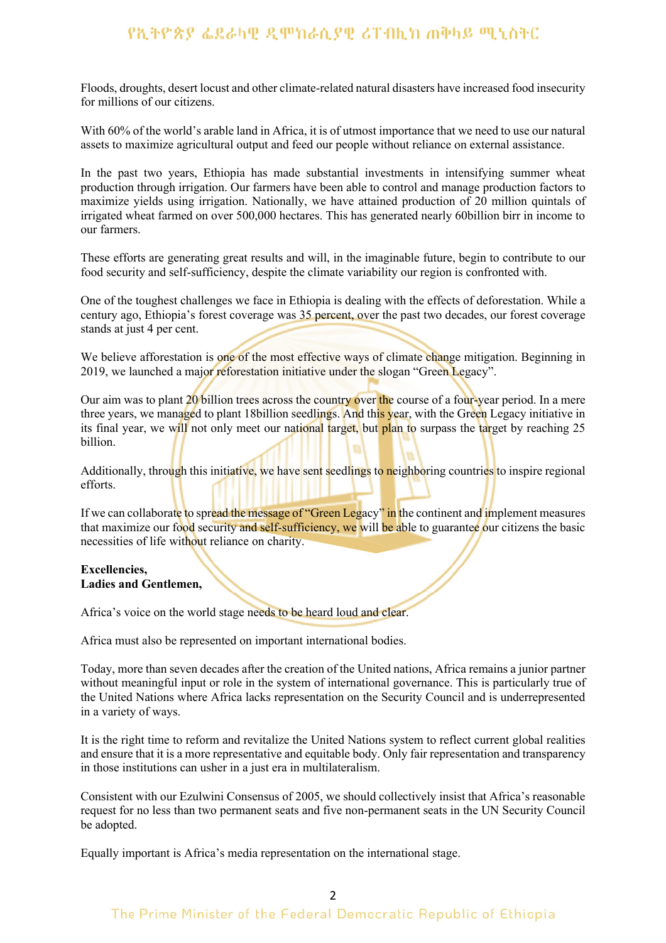Floods, droughts, desert locust and other climate-related natural disasters have increased food insecurity for millions of our citizens.

With 60% of the world's arable land in Africa, it is of utmost importance that we need to use our natural assets to maximize agricultural output and feed our people without reliance on external assistance.

In the past two years, Ethiopia has made substantial investments in intensifying summer wheat production through irrigation. Our farmers have been able to control and manage production factors to maximize yields using irrigation. Nationally, we have attained production of 20 million quintals of irrigated wheat farmed on over 500,000 hectares. This has generated nearly 60billion birr in income to our farmers.

These efforts are generating great results and will, in the imaginable future, begin to contribute to our food security and self-sufficiency, despite the climate variability our region is confronted with.

One of the toughest challenges we face in Ethiopia is dealing with the effects of deforestation. While a century ago, Ethiopia's forest coverage was 35 percent, over the past two decades, our forest coverage stands at just 4 per cent.

We believe afforestation is one of the most effective ways of climate change mitigation. Beginning in 2019, we launched a major reforestation initiative under the slogan "Green Legacy".

Our aim was to plant 20 billion trees across the country over the course of a four-year period. In a mere three years, we managed to plant 18billion seedlings. And this year, with the Green Legacy initiative in its final year, we will not only meet our national target, but plan to surpass the target by reaching 25 billion.

Additionally, through this initiative, we have sent seedlings to neighboring countries to inspire regional efforts.

If we can collaborate to spread the message of "Green Legacy" in the continent and implement measures that maximize our food security and self-sufficiency, we will be able to guarantee our citizens the basic necessities of life without reliance on charity.

#### **Excellencies, Ladies and Gentlemen,**

Africa's voice on the world stage needs to be heard loud and clear.

Africa must also be represented on important international bodies.

Today, more than seven decades after the creation of the United nations, Africa remains a junior partner without meaningful input or role in the system of international governance. This is particularly true of the United Nations where Africa lacks representation on the Security Council and is underrepresented in a variety of ways.

It is the right time to reform and revitalize the United Nations system to reflect current global realities and ensure that it is a more representative and equitable body. Only fair representation and transparency in those institutions can usher in a just era in multilateralism.

Consistent with our Ezulwini Consensus of 2005, we should collectively insist that Africa's reasonable request for no less than two permanent seats and five non-permanent seats in the UN Security Council be adopted.

Equally important is Africa's media representation on the international stage.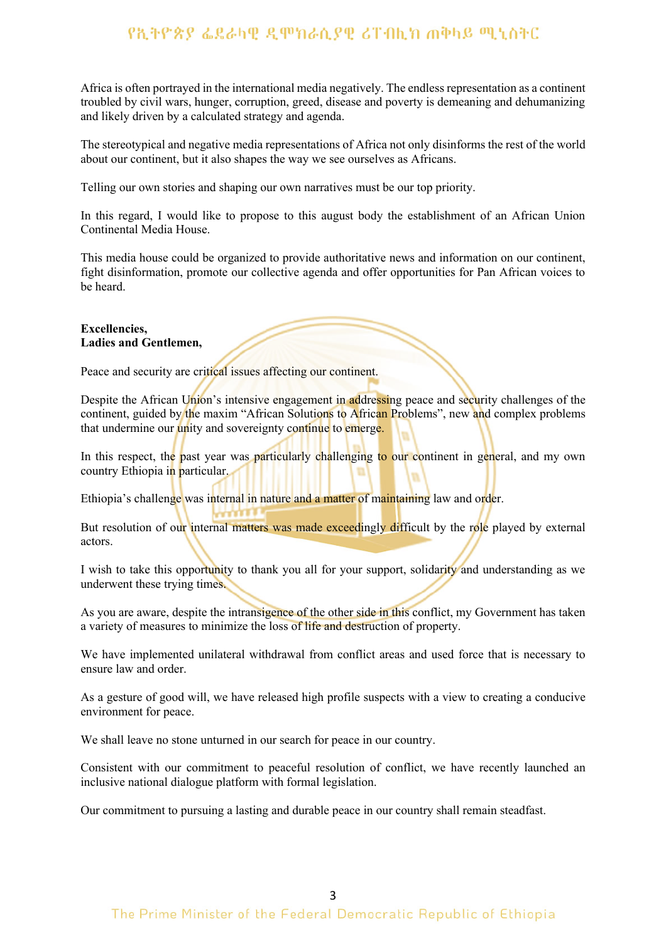Africa is often portrayed in the international media negatively. The endless representation as a continent troubled by civil wars, hunger, corruption, greed, disease and poverty is demeaning and dehumanizing and likely driven by a calculated strategy and agenda.

The stereotypical and negative media representations of Africa not only disinforms the rest of the world about our continent, but it also shapes the way we see ourselves as Africans.

Telling our own stories and shaping our own narratives must be our top priority.

In this regard, I would like to propose to this august body the establishment of an African Union Continental Media House.

This media house could be organized to provide authoritative news and information on our continent, fight disinformation, promote our collective agenda and offer opportunities for Pan African voices to be heard.

#### **Excellencies, Ladies and Gentlemen,**

Peace and security are critical issues affecting our continent.

Despite the African Union's intensive engagement in addressing peace and security challenges of the continent, guided by the maxim "African Solutions to African Problems", new and complex problems that undermine our unity and sovereignty continue to emerge.

In this respect, the past year was particularly challenging to our continent in general, and my own country Ethiopia in particular.

Ethiopia's challenge was internal in nature and a matter of maintaining law and order.

But resolution of our internal matters was made exceedingly difficult by the role played by external actors.

I wish to take this opportunity to thank you all for your support, solidarity and understanding as we underwent these trying times.

As you are aware, despite the intransigence of the other side in this conflict, my Government has taken a variety of measures to minimize the loss of life and destruction of property.

We have implemented unilateral withdrawal from conflict areas and used force that is necessary to ensure law and order.

As a gesture of good will, we have released high profile suspects with a view to creating a conducive environment for peace.

We shall leave no stone unturned in our search for peace in our country.

Consistent with our commitment to peaceful resolution of conflict, we have recently launched an inclusive national dialogue platform with formal legislation.

Our commitment to pursuing a lasting and durable peace in our country shall remain steadfast.